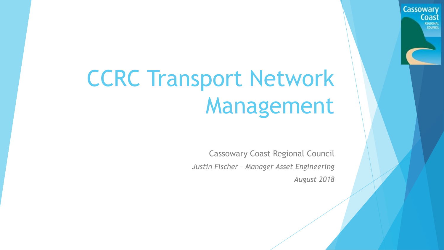## CCRC Transport Network Management

Cassowary Coast Regional Council *Justin Fischer – Manager Asset Engineering August 2018*

**Cassowary**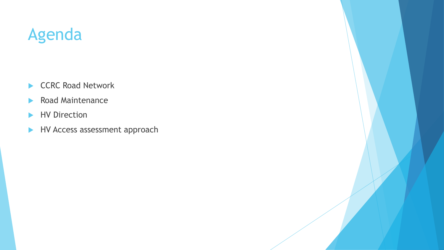#### Agenda

- CCRC Road Network
- Road Maintenance
- HV Direction
- HV Access assessment approach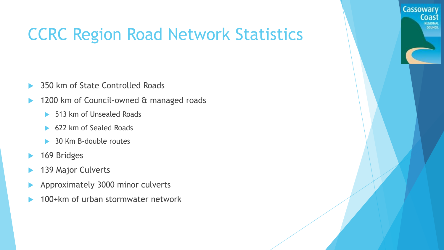### CCRC Region Road Network Statistics

**Cassowary** 

- 350 km of State Controlled Roads
- 1200 km of Council-owned & managed roads
	- ▶ 513 km of Unsealed Roads
	- ▶ 622 km of Sealed Roads
	- **30 Km B-double routes**
- ▶ 169 Bridges
- 139 Major Culverts
- Approximately 3000 minor culverts
- 100+km of urban stormwater network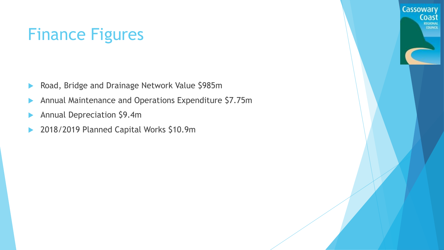#### Finance Figures

- Road, Bridge and Drainage Network Value \$985m
- Annual Maintenance and Operations Expenditure \$7.75m
- Annual Depreciation \$9.4m
- ▶ 2018/2019 Planned Capital Works \$10.9m

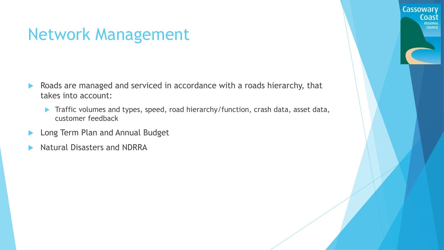#### Network Management

- Roads are managed and serviced in accordance with a roads hierarchy, that takes into account:
	- ▶ Traffic volumes and types, speed, road hierarchy/function, crash data, asset data, customer feedback

**Cassowary** 

- **Long Term Plan and Annual Budget**
- Natural Disasters and NDRRA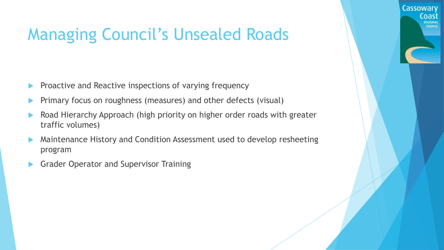### Managing Council's Unsealed Roads

Cassowary

- Proactive and Reactive inspections of varying frequency
- Primary focus on roughness (measures) and other defects (visual)
- Road Hierarchy Approach (high priority on higher order roads with greater traffic volumes)
- Maintenance History and Condition Assessment used to develop resheeting program
- Grader Operator and Supervisor Training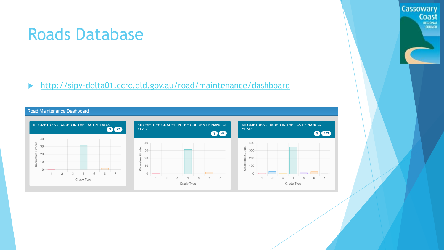#### Roads Database

#### <http://sipv-delta01.ccrc.qld.gov.au/road/maintenance/dashboard>

#### Road Maintenance Dashboard



Cassowary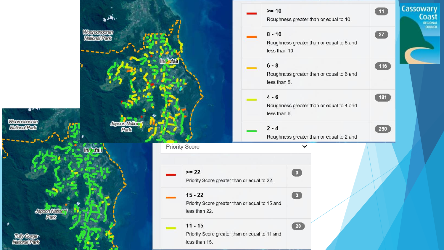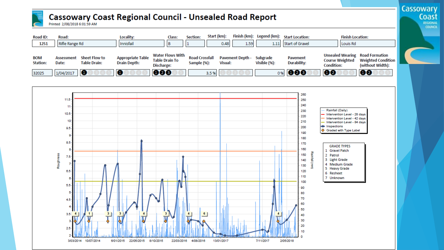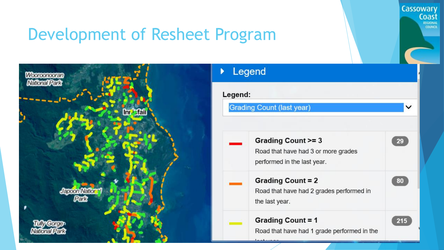#### Development of Resheet Program



# **COUNCIL** ◡  $29$ Road that have had 3 or more grades 80 Road that have had 2 grades performed in 215 Road that have had 1 grade performed in the

**Cassowary** 

Coast REGIONAL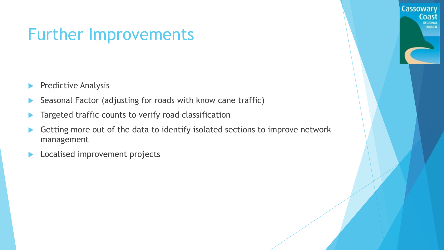#### Further Improvements

- Predictive Analysis
- Seasonal Factor (adjusting for roads with know cane traffic)
- Targeted traffic counts to verify road classification
- Getting more out of the data to identify isolated sections to improve network management

**Cassowary** 

Coast **REGIONAL COUNCIL** 

**Localised improvement projects**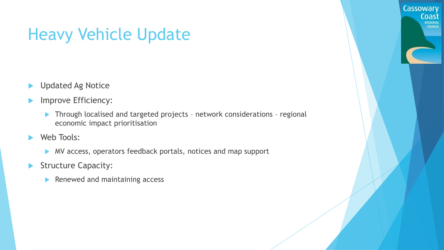#### Heavy Vehicle Update

- **D** Updated Ag Notice
- Improve Efficiency:
	- ▶ Through localised and targeted projects network considerations regional economic impact prioritisation

Cassowary

- Web Tools:
	- MV access, operators feedback portals, notices and map support
- Structure Capacity:
	- $\blacktriangleright$  Renewed and maintaining access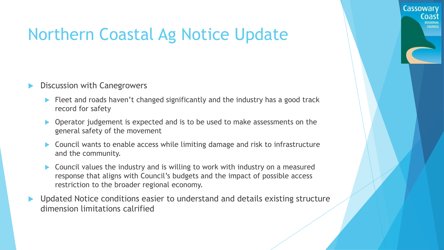#### Northern Coastal Ag Notice Update

- Discussion with Canegrowers
	- Fleet and roads haven't changed significantly and the industry has a good track record for safety

**Cassowary** 

Coast

**COUNCIL** 

- Operator judgement is expected and is to be used to make assessments on the general safety of the movement
- Council wants to enable access while limiting damage and risk to infrastructure and the community.
- ▶ Council values the industry and is willing to work with industry on a measured response that aligns with Council's budgets and the impact of possible access restriction to the broader regional economy.
- Updated Notice conditions easier to understand and details existing structure dimension limitations calrified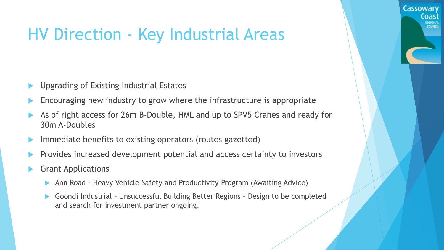#### HV Direction - Key Industrial Areas

- Upgrading of Existing Industrial Estates
- Encouraging new industry to grow where the infrastructure is appropriate
- As of right access for 26m B-Double, HML and up to SPV5 Cranes and ready for 30m A-Doubles

Cassowary

Coast

**COUNCI** 

- Immediate benefits to existing operators (routes gazetted)
- Provides increased development potential and access certainty to investors
- Grant Applications
	- Ann Road Heavy Vehicle Safety and Productivity Program (Awaiting Advice)
	- Goondi Industrial Unsuccessful Building Better Regions Design to be completed and search for investment partner ongoing.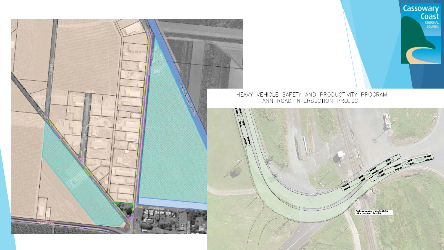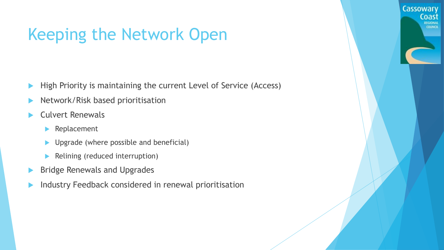#### Keeping the Network Open

High Priority is maintaining the current Level of Service (Access)

**Cassowary** 

- Network/Risk based prioritisation
- Culvert Renewals
	- **Replacement**
	- ▶ Upgrade (where possible and beneficial)
	- Relining (reduced interruption)
- Bridge Renewals and Upgrades
- Industry Feedback considered in renewal prioritisation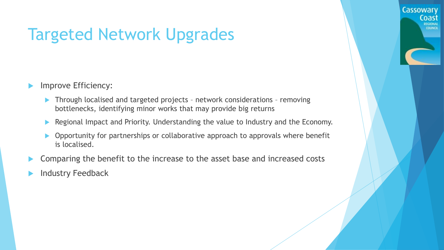### Targeted Network Upgrades

- Improve Efficiency:
	- Through localised and targeted projects network considerations removing bottlenecks, identifying minor works that may provide big returns
	- Regional Impact and Priority. Understanding the value to Industry and the Economy.

**Cassowary** 

- ▶ Opportunity for partnerships or collaborative approach to approvals where benefit is localised.
- Comparing the benefit to the increase to the asset base and increased costs
- Industry Feedback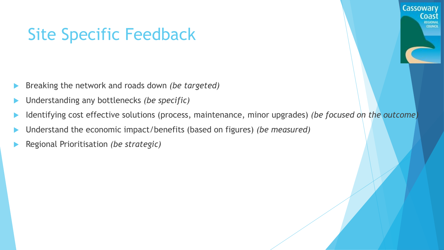#### Site Specific Feedback

- Breaking the network and roads down *(be targeted)*
- Understanding any bottlenecks *(be specific)*
- Identifying cost effective solutions (process, maintenance, minor upgrades) *(be focused on the outcome)*

**Cassowary** 

Coast EGIONAL COUNCH

- Understand the economic impact/benefits (based on figures) *(be measured)*
- Regional Prioritisation *(be strategic)*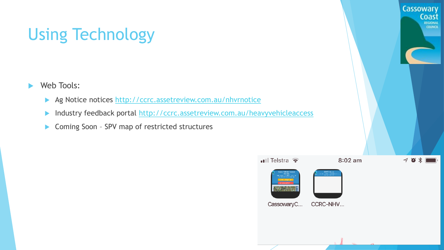## Using Technology

- ▶ Web Tools:
	- Ag Notice notices [http://ccrc.assetreview.com.au/nhvrnotice](https://protect-au.mimecast.com/s/PEDlC71Z4mHZWXrc8kIyz?domain=ccrc.assetreview.com.au)
	- Industry feedback portal <http://ccrc.assetreview.com.au/heavyvehicleaccess>
	- ▶ Coming Soon SPV map of restricted structures

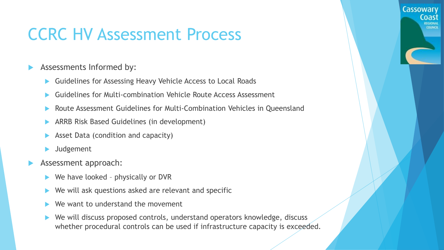#### CCRC HV Assessment Process

- Assessments Informed by:
	- Guidelines for Assessing Heavy Vehicle Access to Local Roads
	- Guidelines for Multi-combination Vehicle Route Access Assessment
	- Route Assessment Guidelines for Multi-Combination Vehicles in Queensland

Cassowary

- ARRB Risk Based Guidelines (in development)
- Asset Data (condition and capacity)
- Judgement
- Assessment approach:
	- We have looked physically or DVR
	- We will ask questions asked are relevant and specific
	- We want to understand the movement
	- We will discuss proposed controls, understand operators knowledge, discuss whether procedural controls can be used if infrastructure capacity is exceeded.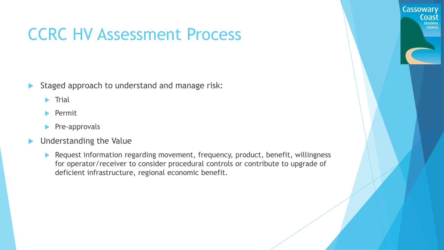#### CCRC HV Assessment Process

- Staged approach to understand and manage risk:
	- **Trial**
	- $\blacktriangleright$  Permit
	- Pre-approvals
- **Inderstanding the Value** 
	- **Request information regarding movement, frequency, product, benefit, willingness** for operator/receiver to consider procedural controls or contribute to upgrade of deficient infrastructure, regional economic benefit.

**Cassowary**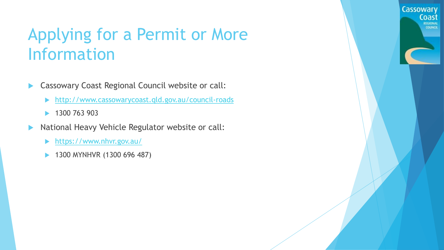#### Applying for a Permit or More Information

- **Cassowary Coast Regional Council website or call:** 
	- <http://www.cassowarycoast.qld.gov.au/council-roads>
	- ▶ 1300 763 903
- **National Heavy Vehicle Regulator website or call:** 
	- ▶ <https://www.nhvr.gov.au/>
	- 1300 MYNHVR (1300 696 487)